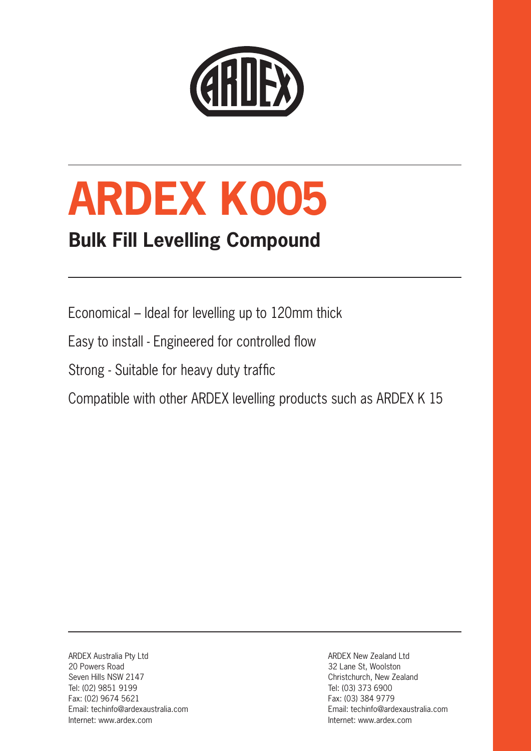

# **ARDEX K 005**

### **Bulk Fill Levelling Compound**

Economical – Ideal for levelling up to 120mm thick

Easy to install - Engineered for controlled flow

Strong - Suitable for heavy duty traffic

Compatible with other ARDEX levelling products such as ARDEX K 15

ARDEX Australia Pty Ltd 20 Powers Road Seven Hills NSW 2147 Tel: (02) 9851 9199 Fax: (02) 9674 5621 Email: techinfo@ardexaustralia.com Internet: www.ardex.com

ARDEX New Zealand Ltd 32 Lane St, Woolston Christchurch, New Zealand Tel: (03) 373 6900 Fax: (03) 384 9779 Email: techinfo@ardexaustralia.com Internet: www.ardex.com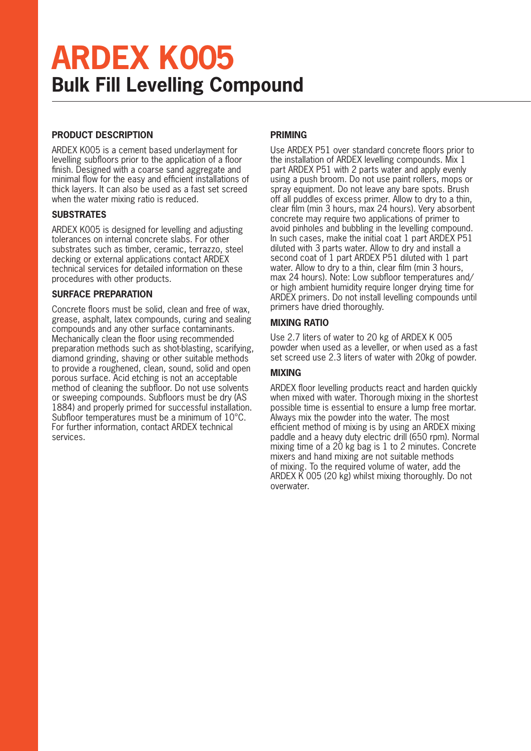## **ARDEX K005 Bulk Fill Levelling Compound**

#### **PRODUCT DESCRIPTION**

ARDEX K005 is a cement based underlayment for levelling subfloors prior to the application of a floor finish. Designed with a coarse sand aggregate and minimal flow for the easy and efficient installations of thick layers. It can also be used as a fast set screed when the water mixing ratio is reduced.

#### **SUBSTRATES**

ARDEX K005 is designed for levelling and adjusting tolerances on internal concrete slabs. For other substrates such as timber, ceramic, terrazzo, steel decking or external applications contact ARDEX technical services for detailed information on these procedures with other products.

#### **SURFACE PREPARATION**

Concrete floors must be solid, clean and free of wax, grease, asphalt, latex compounds, curing and sealing compounds and any other surface contaminants. Mechanically clean the floor using recommended preparation methods such as shot-blasting, scarifying, diamond grinding, shaving or other suitable methods to provide a roughened, clean, sound, solid and open porous surface. Acid etching is not an acceptable method of cleaning the subfloor. Do not use solvents or sweeping compounds. Subfloors must be dry (AS 1884) and properly primed for successful installation. Subfloor temperatures must be a minimum of 10°C. For further information, contact ARDEX technical services.

#### **PRIMING**

Use ARDEX P51 over standard concrete floors prior to the installation of ARDEX levelling compounds. Mix 1 part ARDEX P51 with 2 parts water and apply evenly using a push broom. Do not use paint rollers, mops or spray equipment. Do not leave any bare spots. Brush off all puddles of excess primer. Allow to dry to a thin, clear film (min 3 hours, max 24 hours). Very absorbent concrete may require two applications of primer to avoid pinholes and bubbling in the levelling compound. In such cases, make the initial coat 1 part ARDEX P51 diluted with 3 parts water. Allow to dry and install a second coat of 1 part ARDEX P51 diluted with 1 part water. Allow to dry to a thin, clear film (min 3 hours, max 24 hours). Note: Low subfloor temperatures and/ or high ambient humidity require longer drying time for ARDEX primers. Do not install levelling compounds until primers have dried thoroughly.

#### **MIXING RATIO**

Use 2.7 liters of water to 20 kg of ARDEX K 005 powder when used as a leveller, or when used as a fast set screed use 2.3 liters of water with 20kg of powder.

#### **MIXING**

ARDEX floor levelling products react and harden quickly when mixed with water. Thorough mixing in the shortest possible time is essential to ensure a lump free mortar. Always mix the powder into the water. The most efficient method of mixing is by using an ARDEX mixing paddle and a heavy duty electric drill (650 rpm). Normal mixing time of a 20 kg bag is 1 to 2 minutes. Concrete mixers and hand mixing are not suitable methods of mixing. To the required volume of water, add the ARDEX K 005 (20 kg) whilst mixing thoroughly. Do not overwater.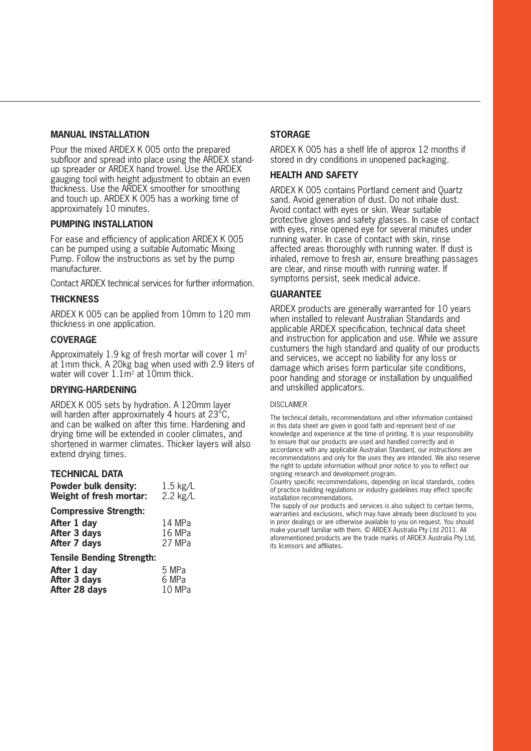#### **MANUAL INSTALLATION**

Pour the mixed ARDEX K 005 onto the prepared subfloor and spread into place using the ARDEX standup spreader or ARDEX hand trowel. Use the ARDEX gauging tool with height adjustment to obtain an even thickness. Use the ARDEX smoother for smoothing and touch up. ARDEX K 005 has a working time of approximately 10 minutes.

#### **PUMPING INSTALLATION**

For ease and efficiency of application ARDEX K 005 can be pumped using a suitable Automatic Mixing Pump. Follow the instructions as set by the pump manufacturer.

Contact ARDEX technical services for further information.

#### **THICKNESS**

ARDEX K 005 can be applied from 10mm to 120 mm thickness in one application.

#### **COVERAGE**

Approximately 1.9 kg of fresh mortar will cover  $1 \text{ m}^2$ at 1mm thick. A 20kg bag when used with 2.9 liters of water will cover  $1.1\overline{m}^2$  at 10mm thick.

#### **DRYING-HARDENING**

ARDEX K 005 sets by hydration. A 120mm layer will harden after approximately 4 hours at 23°C, and can be walked on after this time. Hardening and drying time will be extended in cooler climates, and shortened in warmer climates. Thicker layers will also extend drying times.

#### **TECHNICAL DATA**

| <b>Powder bulk density:</b> | $1.5$ kg/L |
|-----------------------------|------------|
| Weight of fresh mortar:     | $2.2$ kg/L |

#### **Compressive Strength:**

| 14 MPa |
|--------|
| 16 MPa |
| 27 MPa |
|        |

#### **Tensile Bending Strength:**

| After 1 day   | 5 MPa  |
|---------------|--------|
| After 3 days  | 6 MPa  |
| After 28 days | 10 MPa |

#### **STORAGE**

ARDEX K 005 has a shelf life of approx 12 months if stored in dry conditions in unopened packaging.

#### **HEALTH AND SAFETY**

ARDEX K 005 contains Portland cement and Quartz sand. Avoid generation of dust. Do not inhale dust. Avoid contact with eyes or skin. Wear suitable protective gloves and safety glasses. In case of contact with eyes, rinse opened eye for several minutes under running water. In case of contact with skin, rinse affected areas thoroughly with running water. If dust is inhaled, remove to fresh air, ensure breathing passages are clear, and rinse mouth with running water. If symptoms persist, seek medical advice.

#### **GUARANTEE**

ARDEX products are generally warranted for 10 years when installed to relevant Australian Standards and applicable ARDEX specification, technical data sheet and instruction for application and use. While we assure custumers the high standard and quality of our products and services, we accept no liability for any loss or damage which arises form particular site conditions, poor handing and storage or installation by unqualified and unskilled applicators.

#### DISCLAIMER

The technical details, recommendations and other information contained in this data sheet are given in good faith and represent best of our knowledge and experience at the time of printing. It is your responsibility to ensure that our products are used and handled correctly and in accordance with any applicable Australian Standard, our instructions are recommendations and only for the uses they are intended. We also reserve the right to update information without prior notice to you to reflect our ongoing research and development program.

Country specific recommendations, depending on local standards, codes of practice building regulations or industry guidelines may effect specific installation recommendations.

The supply of our products and services is also subject to certain terms, warranties and exclusions, which may have already been disclosed to you in prior dealings or are otherwise available to you on request. You should make yourself familiar with them. © ARDEX Australia Pty Ltd 2011. All aforementioned products are the trade marks of ARDEX Australia Pty Ltd, its licensors and affiliates.